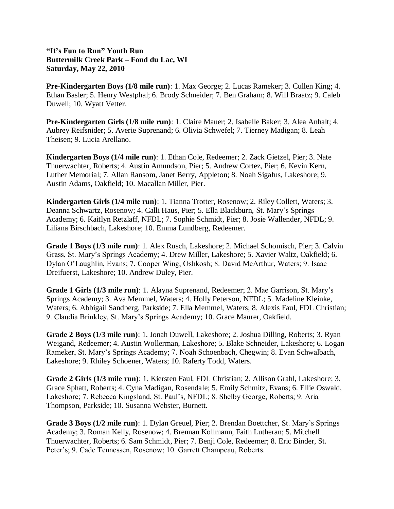## **"It's Fun to Run" Youth Run Buttermilk Creek Park – Fond du Lac, WI Saturday, May 22, 2010**

**Pre-Kindergarten Boys (1/8 mile run)**: 1. Max George; 2. Lucas Rameker; 3. Cullen King; 4. Ethan Basler; 5. Henry Westphal; 6. Brody Schneider; 7. Ben Graham; 8. Will Braatz; 9. Caleb Duwell; 10. Wyatt Vetter.

**Pre-Kindergarten Girls (1/8 mile run)**: 1. Claire Mauer; 2. Isabelle Baker; 3. Alea Anhalt; 4. Aubrey Reifsnider; 5. Averie Suprenand; 6. Olivia Schwefel; 7. Tierney Madigan; 8. Leah Theisen; 9. Lucia Arellano.

**Kindergarten Boys (1/4 mile run)**: 1. Ethan Cole, Redeemer; 2. Zack Gietzel, Pier; 3. Nate Thuerwachter, Roberts; 4. Austin Amundson, Pier; 5. Andrew Cortez, Pier; 6. Kevin Kern, Luther Memorial; 7. Allan Ransom, Janet Berry, Appleton; 8. Noah Sigafus, Lakeshore; 9. Austin Adams, Oakfield; 10. Macallan Miller, Pier.

**Kindergarten Girls (1/4 mile run)**: 1. Tianna Trotter, Rosenow; 2. Riley Collett, Waters; 3. Deanna Schwartz, Rosenow; 4. Calli Haus, Pier; 5. Ella Blackburn, St. Mary's Springs Academy; 6. Kaitlyn Retzlaff, NFDL; 7. Sophie Schmidt, Pier; 8. Josie Wallender, NFDL; 9. Liliana Birschbach, Lakeshore; 10. Emma Lundberg, Redeemer.

**Grade 1 Boys (1/3 mile run)**: 1. Alex Rusch, Lakeshore; 2. Michael Schomisch, Pier; 3. Calvin Grass, St. Mary's Springs Academy; 4. Drew Miller, Lakeshore; 5. Xavier Waltz, Oakfield; 6. Dylan O'Laughlin, Evans; 7. Cooper Wing, Oshkosh; 8. David McArthur, Waters; 9. Isaac Dreifuerst, Lakeshore; 10. Andrew Duley, Pier.

**Grade 1 Girls (1/3 mile run)**: 1. Alayna Suprenand, Redeemer; 2. Mae Garrison, St. Mary's Springs Academy; 3. Ava Memmel, Waters; 4. Holly Peterson, NFDL; 5. Madeline Kleinke, Waters; 6. Abbigail Sandberg, Parkside; 7. Ella Memmel, Waters; 8. Alexis Faul, FDL Christian; 9. Claudia Brinkley, St. Mary's Springs Academy; 10. Grace Maurer, Oakfield.

**Grade 2 Boys (1/3 mile run)**: 1. Jonah Duwell, Lakeshore; 2. Joshua Dilling, Roberts; 3. Ryan Weigand, Redeemer; 4. Austin Wollerman, Lakeshore; 5. Blake Schneider, Lakeshore; 6. Logan Rameker, St. Mary's Springs Academy; 7. Noah Schoenbach, Chegwin; 8. Evan Schwalbach, Lakeshore; 9. Rhiley Schoener, Waters; 10. Raferty Todd, Waters.

**Grade 2 Girls (1/3 mile run)**: 1. Kiersten Faul, FDL Christian; 2. Allison Grahl, Lakeshore; 3. Grace Sphatt, Roberts; 4. Cyna Madigan, Rosendale; 5. Emily Schmitz, Evans; 6. Ellie Oswald, Lakeshore; 7. Rebecca Kingsland, St. Paul's, NFDL; 8. Shelby George, Roberts; 9. Aria Thompson, Parkside; 10. Susanna Webster, Burnett.

**Grade 3 Boys (1/2 mile run)**: 1. Dylan Greuel, Pier; 2. Brendan Boettcher, St. Mary's Springs Academy; 3. Roman Kelly, Rosenow; 4. Brennan Kollmann, Faith Lutheran; 5. Mitchell Thuerwachter, Roberts; 6. Sam Schmidt, Pier; 7. Benji Cole, Redeemer; 8. Eric Binder, St. Peter's; 9. Cade Tennessen, Rosenow; 10. Garrett Champeau, Roberts.